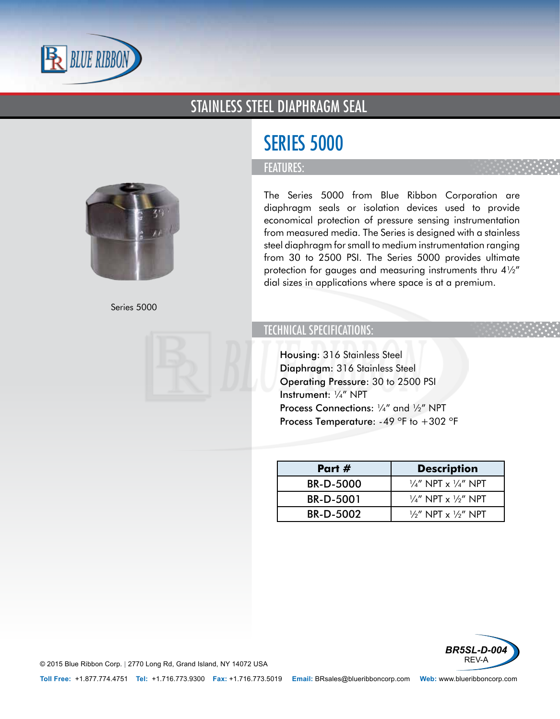

### STAINLESS STEEL DIAPHRAGM SEAL



Series 5000



# SERIES 5000

#### FEATURES:

The Series 5000 from Blue Ribbon Corporation are diaphragm seals or isolation devices used to provide economical protection of pressure sensing instrumentation from measured media. The Series is designed with a stainless steel diaphragm for small to medium instrumentation ranging from 30 to 2500 PSI. The Series 5000 provides ultimate protection for gauges and measuring instruments thru 4½" dial sizes in applications where space is at a premium.

### TECHNICAL SPECIFICATIONS:

- Housing: 316 Stainless Steel
- Diaphragm: 316 Stainless Steel
- Operating Pressure: 30 to 2500 PSI
- Instrument: ¼" NPT
- Process Connections: 1/4" and 1/2" NPT
- Process Temperature:  $-49$  °F to  $+302$  °F

| Part #           | <b>Description</b>                        |
|------------------|-------------------------------------------|
| <b>BR-D-5000</b> | $\frac{1}{4}$ " NPT x $\frac{1}{4}$ " NPT |
| BR-D-5001        | $\frac{1}{4}$ " NPT x $\frac{1}{2}$ " NPT |
| BR-D-5002        | $\frac{1}{2}$ NPT x $\frac{1}{2}$ NPT     |



© 2015 Blue Ribbon Corp. *<sup>|</sup>* 2770 Long Rd, Grand Island, NY 14072 USA

**Toll Free:** +1.877.774.4751 **Tel:** +1.716.773.9300 **Fax:** +1.716.773.5019 **Email:** BRsales@blueribboncorp.com **Web:** www.blueribboncorp.com